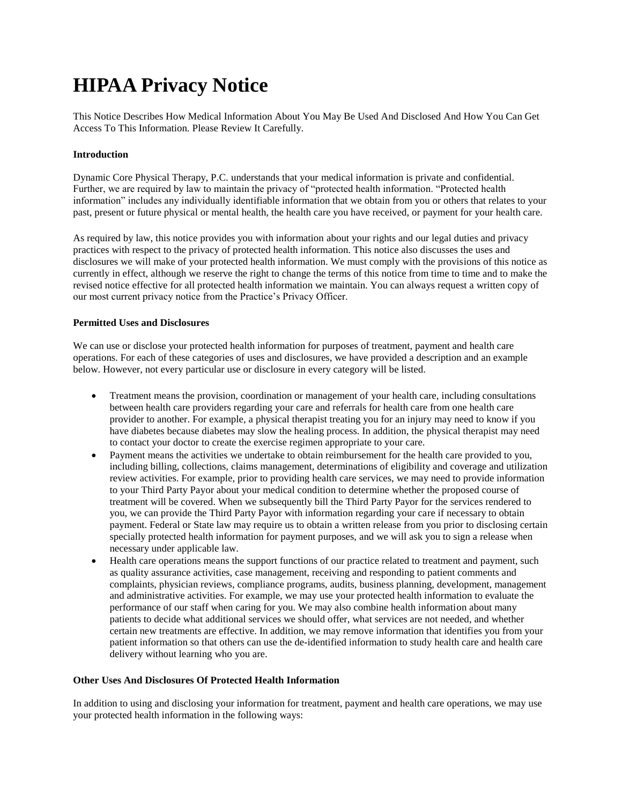# **HIPAA Privacy Notice**

This Notice Describes How Medical Information About You May Be Used And Disclosed And How You Can Get Access To This Information. Please Review It Carefully.

### **Introduction**

Dynamic Core Physical Therapy, P.C. understands that your medical information is private and confidential. Further, we are required by law to maintain the privacy of "protected health information. "Protected health information" includes any individually identifiable information that we obtain from you or others that relates to your past, present or future physical or mental health, the health care you have received, or payment for your health care.

As required by law, this notice provides you with information about your rights and our legal duties and privacy practices with respect to the privacy of protected health information. This notice also discusses the uses and disclosures we will make of your protected health information. We must comply with the provisions of this notice as currently in effect, although we reserve the right to change the terms of this notice from time to time and to make the revised notice effective for all protected health information we maintain. You can always request a written copy of our most current privacy notice from the Practice's Privacy Officer.

## **Permitted Uses and Disclosures**

We can use or disclose your protected health information for purposes of treatment, payment and health care operations. For each of these categories of uses and disclosures, we have provided a description and an example below. However, not every particular use or disclosure in every category will be listed.

- Treatment means the provision, coordination or management of your health care, including consultations between health care providers regarding your care and referrals for health care from one health care provider to another. For example, a physical therapist treating you for an injury may need to know if you have diabetes because diabetes may slow the healing process. In addition, the physical therapist may need to contact your doctor to create the exercise regimen appropriate to your care.
- Payment means the activities we undertake to obtain reimbursement for the health care provided to you, including billing, collections, claims management, determinations of eligibility and coverage and utilization review activities. For example, prior to providing health care services, we may need to provide information to your Third Party Payor about your medical condition to determine whether the proposed course of treatment will be covered. When we subsequently bill the Third Party Payor for the services rendered to you, we can provide the Third Party Payor with information regarding your care if necessary to obtain payment. Federal or State law may require us to obtain a written release from you prior to disclosing certain specially protected health information for payment purposes, and we will ask you to sign a release when necessary under applicable law.
- Health care operations means the support functions of our practice related to treatment and payment, such as quality assurance activities, case management, receiving and responding to patient comments and complaints, physician reviews, compliance programs, audits, business planning, development, management and administrative activities. For example, we may use your protected health information to evaluate the performance of our staff when caring for you. We may also combine health information about many patients to decide what additional services we should offer, what services are not needed, and whether certain new treatments are effective. In addition, we may remove information that identifies you from your patient information so that others can use the de-identified information to study health care and health care delivery without learning who you are.

#### **Other Uses And Disclosures Of Protected Health Information**

In addition to using and disclosing your information for treatment, payment and health care operations, we may use your protected health information in the following ways: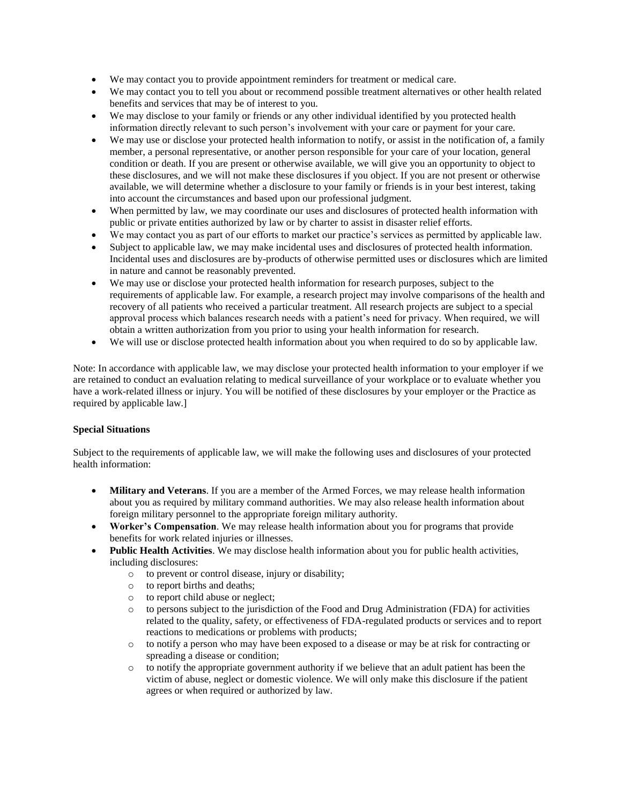- We may contact you to provide appointment reminders for treatment or medical care.
- We may contact you to tell you about or recommend possible treatment alternatives or other health related benefits and services that may be of interest to you.
- We may disclose to your family or friends or any other individual identified by you protected health information directly relevant to such person's involvement with your care or payment for your care.
- We may use or disclose your protected health information to notify, or assist in the notification of, a family member, a personal representative, or another person responsible for your care of your location, general condition or death. If you are present or otherwise available, we will give you an opportunity to object to these disclosures, and we will not make these disclosures if you object. If you are not present or otherwise available, we will determine whether a disclosure to your family or friends is in your best interest, taking into account the circumstances and based upon our professional judgment.
- When permitted by law, we may coordinate our uses and disclosures of protected health information with public or private entities authorized by law or by charter to assist in disaster relief efforts.
- We may contact you as part of our efforts to market our practice's services as permitted by applicable law.
- Subject to applicable law, we may make incidental uses and disclosures of protected health information. Incidental uses and disclosures are by-products of otherwise permitted uses or disclosures which are limited in nature and cannot be reasonably prevented.
- We may use or disclose your protected health information for research purposes, subject to the requirements of applicable law. For example, a research project may involve comparisons of the health and recovery of all patients who received a particular treatment. All research projects are subject to a special approval process which balances research needs with a patient's need for privacy. When required, we will obtain a written authorization from you prior to using your health information for research.
- We will use or disclose protected health information about you when required to do so by applicable law.

Note: In accordance with applicable law, we may disclose your protected health information to your employer if we are retained to conduct an evaluation relating to medical surveillance of your workplace or to evaluate whether you have a work-related illness or injury. You will be notified of these disclosures by your employer or the Practice as required by applicable law.]

## **Special Situations**

Subject to the requirements of applicable law, we will make the following uses and disclosures of your protected health information:

- **Military and Veterans**. If you are a member of the Armed Forces, we may release health information about you as required by military command authorities. We may also release health information about foreign military personnel to the appropriate foreign military authority.
- **Worker's Compensation**. We may release health information about you for programs that provide benefits for work related injuries or illnesses.
- **Public Health Activities**. We may disclose health information about you for public health activities, including disclosures:
	- o to prevent or control disease, injury or disability;
	- o to report births and deaths;
	- o to report child abuse or neglect;
	- o to persons subject to the jurisdiction of the Food and Drug Administration (FDA) for activities related to the quality, safety, or effectiveness of FDA-regulated products or services and to report reactions to medications or problems with products;
	- o to notify a person who may have been exposed to a disease or may be at risk for contracting or spreading a disease or condition;
	- o to notify the appropriate government authority if we believe that an adult patient has been the victim of abuse, neglect or domestic violence. We will only make this disclosure if the patient agrees or when required or authorized by law.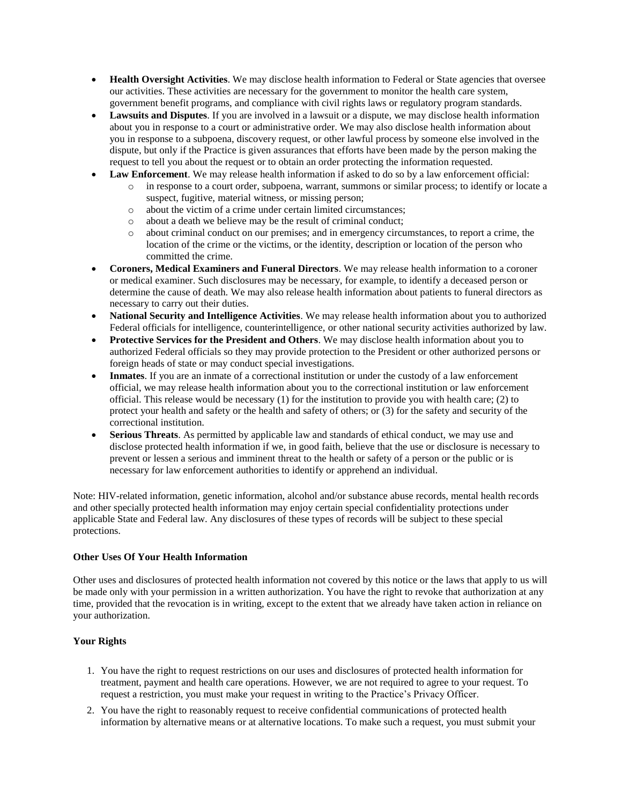- **Health Oversight Activities**. We may disclose health information to Federal or State agencies that oversee our activities. These activities are necessary for the government to monitor the health care system, government benefit programs, and compliance with civil rights laws or regulatory program standards.
- **Lawsuits and Disputes**. If you are involved in a lawsuit or a dispute, we may disclose health information about you in response to a court or administrative order. We may also disclose health information about you in response to a subpoena, discovery request, or other lawful process by someone else involved in the dispute, but only if the Practice is given assurances that efforts have been made by the person making the request to tell you about the request or to obtain an order protecting the information requested.
- **Law Enforcement**. We may release health information if asked to do so by a law enforcement official:
	- o in response to a court order, subpoena, warrant, summons or similar process; to identify or locate a suspect, fugitive, material witness, or missing person;
		- o about the victim of a crime under certain limited circumstances;
		- o about a death we believe may be the result of criminal conduct;
		- o about criminal conduct on our premises; and in emergency circumstances, to report a crime, the location of the crime or the victims, or the identity, description or location of the person who committed the crime.
- **Coroners, Medical Examiners and Funeral Directors**. We may release health information to a coroner or medical examiner. Such disclosures may be necessary, for example, to identify a deceased person or determine the cause of death. We may also release health information about patients to funeral directors as necessary to carry out their duties.
- **National Security and Intelligence Activities**. We may release health information about you to authorized Federal officials for intelligence, counterintelligence, or other national security activities authorized by law.
- **Protective Services for the President and Others**. We may disclose health information about you to authorized Federal officials so they may provide protection to the President or other authorized persons or foreign heads of state or may conduct special investigations.
- **Inmates**. If you are an inmate of a correctional institution or under the custody of a law enforcement official, we may release health information about you to the correctional institution or law enforcement official. This release would be necessary (1) for the institution to provide you with health care; (2) to protect your health and safety or the health and safety of others; or (3) for the safety and security of the correctional institution.
- **Serious Threats**. As permitted by applicable law and standards of ethical conduct, we may use and disclose protected health information if we, in good faith, believe that the use or disclosure is necessary to prevent or lessen a serious and imminent threat to the health or safety of a person or the public or is necessary for law enforcement authorities to identify or apprehend an individual.

Note: HIV-related information, genetic information, alcohol and/or substance abuse records, mental health records and other specially protected health information may enjoy certain special confidentiality protections under applicable State and Federal law. Any disclosures of these types of records will be subject to these special protections.

#### **Other Uses Of Your Health Information**

Other uses and disclosures of protected health information not covered by this notice or the laws that apply to us will be made only with your permission in a written authorization. You have the right to revoke that authorization at any time, provided that the revocation is in writing, except to the extent that we already have taken action in reliance on your authorization.

## **Your Rights**

- 1. You have the right to request restrictions on our uses and disclosures of protected health information for treatment, payment and health care operations. However, we are not required to agree to your request. To request a restriction, you must make your request in writing to the Practice's Privacy Officer.
- 2. You have the right to reasonably request to receive confidential communications of protected health information by alternative means or at alternative locations. To make such a request, you must submit your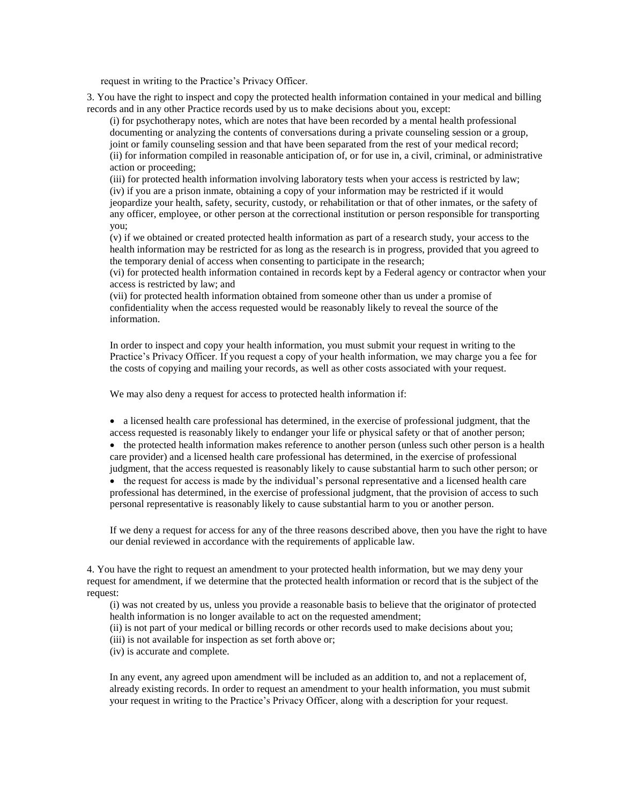request in writing to the Practice's Privacy Officer.

3. You have the right to inspect and copy the protected health information contained in your medical and billing records and in any other Practice records used by us to make decisions about you, except:

(i) for psychotherapy notes, which are notes that have been recorded by a mental health professional documenting or analyzing the contents of conversations during a private counseling session or a group, joint or family counseling session and that have been separated from the rest of your medical record; (ii) for information compiled in reasonable anticipation of, or for use in, a civil, criminal, or administrative action or proceeding;

(iii) for protected health information involving laboratory tests when your access is restricted by law; (iv) if you are a prison inmate, obtaining a copy of your information may be restricted if it would jeopardize your health, safety, security, custody, or rehabilitation or that of other inmates, or the safety of any officer, employee, or other person at the correctional institution or person responsible for transporting you;

(v) if we obtained or created protected health information as part of a research study, your access to the health information may be restricted for as long as the research is in progress, provided that you agreed to the temporary denial of access when consenting to participate in the research;

(vi) for protected health information contained in records kept by a Federal agency or contractor when your access is restricted by law; and

(vii) for protected health information obtained from someone other than us under a promise of confidentiality when the access requested would be reasonably likely to reveal the source of the information.

In order to inspect and copy your health information, you must submit your request in writing to the Practice's Privacy Officer. If you request a copy of your health information, we may charge you a fee for the costs of copying and mailing your records, as well as other costs associated with your request.

We may also deny a request for access to protected health information if:

 a licensed health care professional has determined, in the exercise of professional judgment, that the access requested is reasonably likely to endanger your life or physical safety or that of another person;

• the protected health information makes reference to another person (unless such other person is a health care provider) and a licensed health care professional has determined, in the exercise of professional judgment, that the access requested is reasonably likely to cause substantial harm to such other person; or

• the request for access is made by the individual's personal representative and a licensed health care professional has determined, in the exercise of professional judgment, that the provision of access to such personal representative is reasonably likely to cause substantial harm to you or another person.

If we deny a request for access for any of the three reasons described above, then you have the right to have our denial reviewed in accordance with the requirements of applicable law.

4. You have the right to request an amendment to your protected health information, but we may deny your request for amendment, if we determine that the protected health information or record that is the subject of the request:

(i) was not created by us, unless you provide a reasonable basis to believe that the originator of protected health information is no longer available to act on the requested amendment;

(ii) is not part of your medical or billing records or other records used to make decisions about you;

(iii) is not available for inspection as set forth above or;

(iv) is accurate and complete.

In any event, any agreed upon amendment will be included as an addition to, and not a replacement of, already existing records. In order to request an amendment to your health information, you must submit your request in writing to the Practice's Privacy Officer, along with a description for your request.